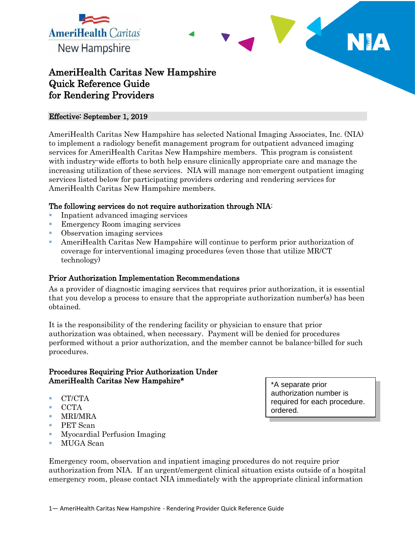

# AmeriHealth Caritas New Hampshire Quick Reference Guide for Rendering Providers

#### Effective: September 1, 2019

AmeriHealth Caritas New Hampshire has selected National Imaging Associates, Inc. (NIA) to implement a radiology benefit management program for outpatient advanced imaging services for AmeriHealth Caritas New Hampshire members. This program is consistent with industry-wide efforts to both help ensure clinically appropriate care and manage the increasing utilization of these services. NIA will manage non-emergent outpatient imaging services listed below for participating providers ordering and rendering services for AmeriHealth Caritas New Hampshire members.

#### The following services do not require authorization through NIA:

- Inpatient advanced imaging services
- Emergency Room imaging services
- Observation imaging services
- AmeriHealth Caritas New Hampshire will continue to perform prior authorization of coverage for interventional imaging procedures (even those that utilize MR/CT technology)

#### Prior Authorization Implementation Recommendations

As a provider of diagnostic imaging services that requires prior authorization, it is essential that you develop a process to ensure that the appropriate authorization number(s) has been obtained.

It is the responsibility of the rendering facility or physician to ensure that prior authorization was obtained, when necessary. Payment will be denied for procedures performed without a prior authorization, and the member cannot be balance-billed for such procedures.

#### Procedures Requiring Prior Authorization Under AmeriHealth Caritas New Hampshire\*

- **CT/CTA**
- $\blacksquare$  CCTA
- MRI/MRA
- **PET** Scan
- **Myocardial Perfusion Imaging**
- MUGA Scan

\*A separate prior authorization number is required for each procedure. ordered.

Emergency room, observation and inpatient imaging procedures do not require prior authorization from NIA. If an urgent/emergent clinical situation exists outside of a hospital emergency room, please contact NIA immediately with the appropriate clinical information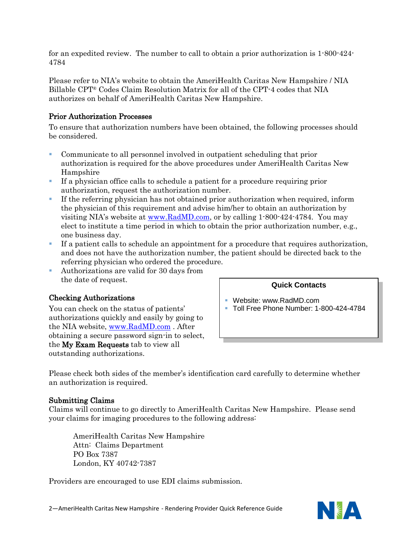for an expedited review. The number to call to obtain a prior authorization is 1-800-424- 4784

Please refer to NIA's website to obtain the AmeriHealth Caritas New Hampshire / NIA Billable CPT® Codes Claim Resolution Matrix for all of the CPT-4 codes that NIA authorizes on behalf of AmeriHealth Caritas New Hampshire.

# Prior Authorization Processes

To ensure that authorization numbers have been obtained, the following processes should be considered.

- Communicate to all personnel involved in outpatient scheduling that prior authorization is required for the above procedures under AmeriHealth Caritas New Hampshire
- If a physician office calls to schedule a patient for a procedure requiring prior authorization, request the authorization number.
- If the referring physician has not obtained prior authorization when required, inform the physician of this requirement and advise him/her to obtain an authorization by visiting NIA's website at [www.RadMD.com,](http://www.radmd.com/) or by calling 1-800-424-4784. You may elect to institute a time period in which to obtain the prior authorization number, e.g., one business day.
- If a patient calls to schedule an appointment for a procedure that requires authorization, and does not have the authorization number, the patient should be directed back to the referring physician who ordered the procedure.
- Authorizations are valid for 30 days from the date of request.

# Checking Authorizations

You can check on the status of patients' authorizations quickly and easily by going to the NIA website, [www.RadMD.com](http://www.radmd.com/) . After obtaining a secure password sign-in to select, the My Exam Requests tab to view all outstanding authorizations.

#### **Quick Contacts**

- Website: www.RadMD.com
- **Toll Free Phone Number: 1-800-424-4784**

Please check both sides of the member's identification card carefully to determine whether an authorization is required.

#### Submitting Claims

Claims will continue to go directly to AmeriHealth Caritas New Hampshire. Please send your claims for imaging procedures to the following address:

AmeriHealth Caritas New Hampshire Attn: Claims Department PO Box 7387 London, KY 40742-7387

Providers are encouraged to use EDI claims submission.

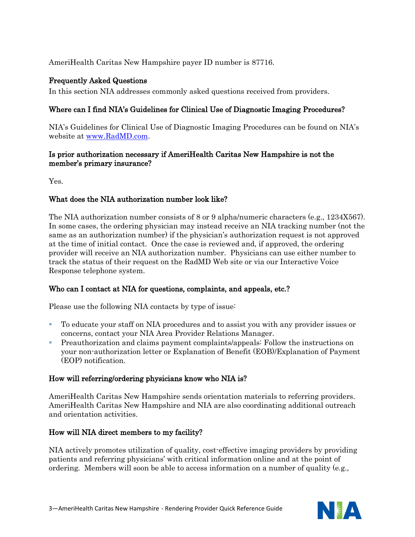AmeriHealth Caritas New Hampshire payer ID number is 87716.

### Frequently Asked Questions

In this section NIA addresses commonly asked questions received from providers.

# Where can I find NIA's Guidelines for Clinical Use of Diagnostic Imaging Procedures?

NIA's Guidelines for Clinical Use of Diagnostic Imaging Procedures can be found on NIA's website at [www.RadMD.com.](http://www.radmd.com/)

#### Is prior authorization necessary if AmeriHealth Caritas New Hampshire is not the member's primary insurance?

Yes.

# What does the NIA authorization number look like?

The NIA authorization number consists of 8 or 9 alpha/numeric characters (e.g., 1234X567). In some cases, the ordering physician may instead receive an NIA tracking number (not the same as an authorization number) if the physician's authorization request is not approved at the time of initial contact. Once the case is reviewed and, if approved, the ordering provider will receive an NIA authorization number. Physicians can use either number to track the status of their request on the RadMD Web site or via our Interactive Voice Response telephone system.

# Who can I contact at NIA for questions, complaints, and appeals, etc.?

Please use the following NIA contacts by type of issue:

- To educate your staff on NIA procedures and to assist you with any provider issues or concerns, contact your NIA Area Provider Relations Manager.
- **Preauthorization and claims payment complaints/appeals: Follow the instructions on** your non-authorization letter or Explanation of Benefit (EOB)/Explanation of Payment (EOP) notification.

# How will referring/ordering physicians know who NIA is?

AmeriHealth Caritas New Hampshire sends orientation materials to referring providers. AmeriHealth Caritas New Hampshire and NIA are also coordinating additional outreach and orientation activities.

# How will NIA direct members to my facility?

NIA actively promotes utilization of quality, cost-effective imaging providers by providing patients and referring physicians' with critical information online and at the point of ordering. Members will soon be able to access information on a number of quality (e.g.,